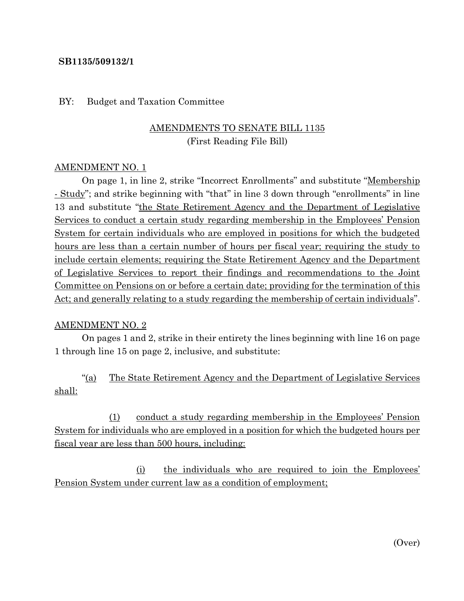### **SB1135/509132/1**

#### BY: Budget and Taxation Committee

# AMENDMENTS TO SENATE BILL 1135 (First Reading File Bill)

### AMENDMENT NO. 1

On page 1, in line 2, strike "Incorrect Enrollments" and substitute "Membership - Study"; and strike beginning with "that" in line 3 down through "enrollments" in line 13 and substitute "the State Retirement Agency and the Department of Legislative Services to conduct a certain study regarding membership in the Employees' Pension System for certain individuals who are employed in positions for which the budgeted hours are less than a certain number of hours per fiscal year; requiring the study to include certain elements; requiring the State Retirement Agency and the Department of Legislative Services to report their findings and recommendations to the Joint Committee on Pensions on or before a certain date; providing for the termination of this Act; and generally relating to a study regarding the membership of certain individuals".

#### AMENDMENT NO. 2

On pages 1 and 2, strike in their entirety the lines beginning with line 16 on page 1 through line 15 on page 2, inclusive, and substitute:

"(a) The State Retirement Agency and the Department of Legislative Services shall:

(1) conduct a study regarding membership in the Employees' Pension System for individuals who are employed in a position for which the budgeted hours per fiscal year are less than 500 hours, including:

(i) the individuals who are required to join the Employees' Pension System under current law as a condition of employment;